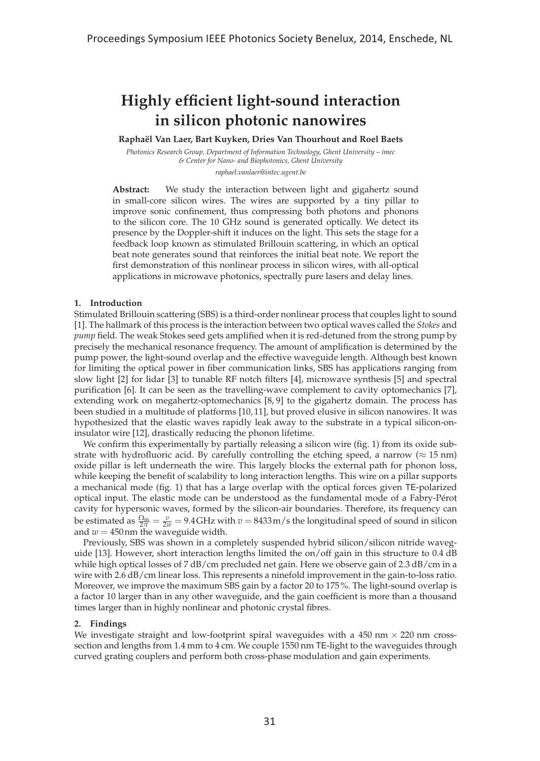## **Highly efficient light-sound interaction in silicon photonic nanowires**

**Rapha¨el Van Laer, Bart Kuyken, Dries Van Thourhout and Roel Baets**

*Photonics Research Group, Department of Information Technology, Ghent University – imec & Center for Nano- and Biophotonics, Ghent University raphael.vanlaer@intec.ugent.be*

**Abstract:** We study the interaction between light and gigahertz sound in small-core silicon wires. The wires are supported by a tiny pillar to improve sonic confinement, thus compressing both photons and phonons to the silicon core. The 10 GHz sound is generated optically. We detect its presence by the Doppler-shift it induces on the light. This sets the stage for a feedback loop known as stimulated Brillouin scattering, in which an optical beat note generates sound that reinforces the initial beat note. We report the first demonstration of this nonlinear process in silicon wires, with all-optical applications in microwave photonics, spectrally pure lasers and delay lines.

## **1. Introduction**

Stimulated Brillouin scattering (SBS) is a third-order nonlinear process that couples light to sound [1]. The hallmark of this process is the interaction between two optical waves called the *Stokes* and *pump* field. The weak Stokes seed gets amplified when it is red-detuned from the strong pump by precisely the mechanical resonance frequency. The amount of amplification is determined by the pump power, the light-sound overlap and the effective waveguide length. Although best known for limiting the optical power in fiber communication links, SBS has applications ranging from slow light [2] for lidar [3] to tunable RF notch filters [4], microwave synthesis [5] and spectral purification [6]. It can be seen as the travelling-wave complement to cavity optomechanics [7], extending work on megahertz-optomechanics [8, 9] to the gigahertz domain. The process has been studied in a multitude of platforms [10, 11], but proved elusive in silicon nanowires. It was hypothesized that the elastic waves rapidly leak away to the substrate in a typical silicon-oninsulator wire [12], drastically reducing the phonon lifetime.

We confirm this experimentally by partially releasing a silicon wire (fig. 1) from its oxide substrate with hydrofluoric acid. By carefully controlling the etching speed, a narrow ( $\approx 15$  nm) oxide pillar is left underneath the wire. This largely blocks the external path for phonon loss, while keeping the benefit of scalability to long interaction lengths. This wire on a pillar supports a mechanical mode (fig. 1) that has a large overlap with the optical forces given TE-polarized optical input. The elastic mode can be understood as the fundamental mode of a Fabry-Perot ´ cavity for hypersonic waves, formed by the silicon-air boundaries. Therefore, its frequency can be estimated as  $\frac{\Omega_m}{2\pi} = \frac{v}{2w} = 9.4$  GHz with  $v = 8433$  m/s the longitudinal speed of sound in silicon and  $w = 450$  nm the waveguide width.

Previously, SBS was shown in a completely suspended hybrid silicon/silicon nitride waveguide [13]. However, short interaction lengths limited the on/off gain in this structure to 0.4 dB while high optical losses of 7 dB/cm precluded net gain. Here we observe gain of 2.3 dB/cm in a wire with 2.6 dB/cm linear loss. This represents a ninefold improvement in the gain-to-loss ratio. Moreover, we improve the maximum SBS gain by a factor 20 to 175%. The light-sound overlap is a factor 10 larger than in any other waveguide, and the gain coefficient is more than a thousand times larger than in highly nonlinear and photonic crystal fibres.

## **2. Findings**

We investigate straight and low-footprint spiral waveguides with a  $450 \text{ nm} \times 220 \text{ nm}$  crosssection and lengths from 1.4 mm to 4 cm. We couple 1550 nm TE-light to the waveguides through curved grating couplers and perform both cross-phase modulation and gain experiments.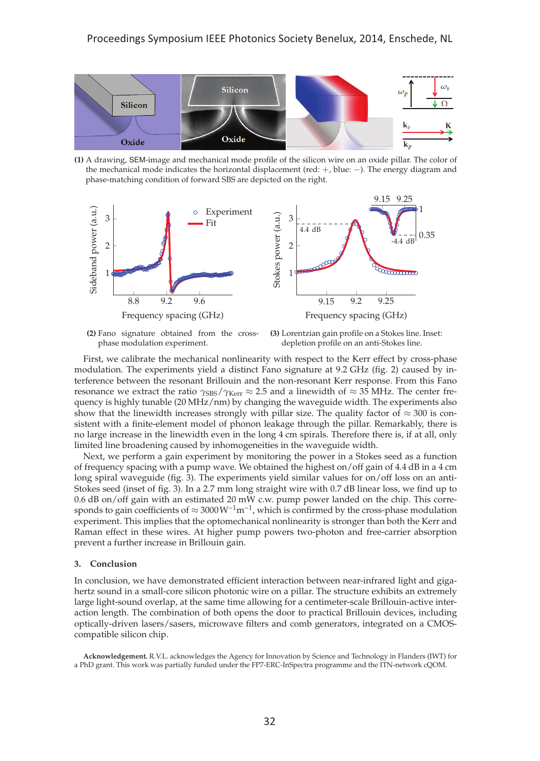

**(1)** A drawing, SEM-image and mechanical mode profile of the silicon wire on an oxide pillar. The color of the mechanical mode indicates the horizontal displacement (red: +, blue: −). The energy diagram and phase-matching condition of forward SBS are depicted on the right.



**(2)** Fano signature obtained from the crossphase modulation experiment.

**(3)** Lorentzian gain profile on a Stokes line. Inset: depletion profile on an anti-Stokes line.

First, we calibrate the mechanical nonlinearity with respect to the Kerr effect by cross-phase modulation. The experiments yield a distinct Fano signature at 9.2 GHz (fig. 2) caused by interference between the resonant Brillouin and the non-resonant Kerr response. From this Fano resonance we extract the ratio  $γ$ <sub>SBS</sub>/ $γ$ <sub>Kerr</sub> ≈ 2.5 and a linewidth of ≈ 35 MHz. The center frequency is highly tunable (20 MHz/nm) by changing the waveguide width. The experiments also show that the linewidth increases strongly with pillar size. The quality factor of  $\approx 300$  is consistent with a finite-element model of phonon leakage through the pillar. Remarkably, there is no large increase in the linewidth even in the long 4 cm spirals. Therefore there is, if at all, only limited line broadening caused by inhomogeneities in the waveguide width.

Next, we perform a gain experiment by monitoring the power in a Stokes seed as a function of frequency spacing with a pump wave. We obtained the highest on/off gain of 4.4 dB in a 4 cm long spiral waveguide (fig. 3). The experiments yield similar values for on/off loss on an anti-Stokes seed (inset of fig. 3). In a 2.7 mm long straight wire with 0.7 dB linear loss, we find up to 0.6 dB on/off gain with an estimated 20 mW c.w. pump power landed on the chip. This corresponds to gain coefficients of  $\approx 3000 \,\mathrm{W}^{-1}\mathrm{m}^{-1}$ , which is confirmed by the cross-phase modulation experiment. This implies that the optomechanical nonlinearity is stronger than both the Kerr and Raman effect in these wires. At higher pump powers two-photon and free-carrier absorption prevent a further increase in Brillouin gain.

## **3. Conclusion**

In conclusion, we have demonstrated efficient interaction between near-infrared light and gigahertz sound in a small-core silicon photonic wire on a pillar. The structure exhibits an extremely large light-sound overlap, at the same time allowing for a centimeter-scale Brillouin-active interaction length. The combination of both opens the door to practical Brillouin devices, including optically-driven lasers/sasers, microwave filters and comb generators, integrated on a CMOScompatible silicon chip.

**Acknowledgement.** R.V.L. acknowledges the Agency for Innovation by Science and Technology in Flanders (IWT) for a PhD grant. This work was partially funded under the FP7-ERC-InSpectra programme and the ITN-network cQOM.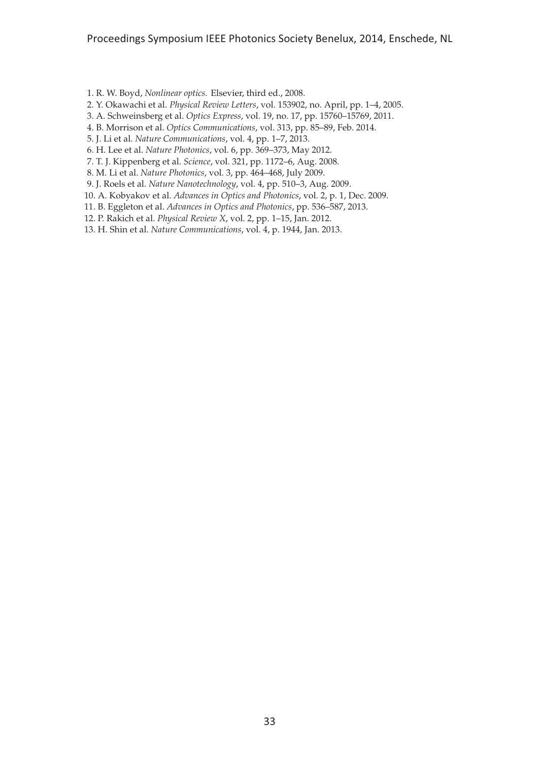- 1. R. W. Boyd, *Nonlinear optics*. Elsevier, third ed., 2008.
- 2. Y. Okawachi et al. *Physical Review Letters*, vol. 153902, no. April, pp. 1–4, 2005.
- 3. A. Schweinsberg et al. *Optics Express*, vol. 19, no. 17, pp. 15760–15769, 2011.
- 4. B. Morrison et al. *Optics Communications*, vol. 313, pp. 85–89, Feb. 2014.
- 5. J. Li et al. *Nature Communications*, vol. 4, pp. 1–7, 2013.
- 6. H. Lee et al. *Nature Photonics*, vol. 6, pp. 369–373, May 2012.
- 7. T. J. Kippenberg et al. *Science*, vol. 321, pp. 1172–6, Aug. 2008.
- 8. M. Li et al. *Nature Photonics*, vol. 3, pp. 464–468, July 2009.
- 9. J. Roels et al. *Nature Nanotechnology*, vol. 4, pp. 510–3, Aug. 2009.
- 10. A. Kobyakov et al. *Advances in Optics and Photonics*, vol. 2, p. 1, Dec. 2009.
- 11. B. Eggleton et al. *Advances in Optics and Photonics*, pp. 536–587, 2013.
- 12. P. Rakich et al. *Physical Review X*, vol. 2, pp. 1–15, Jan. 2012.
- 13. H. Shin et al. *Nature Communications*, vol. 4, p. 1944, Jan. 2013.